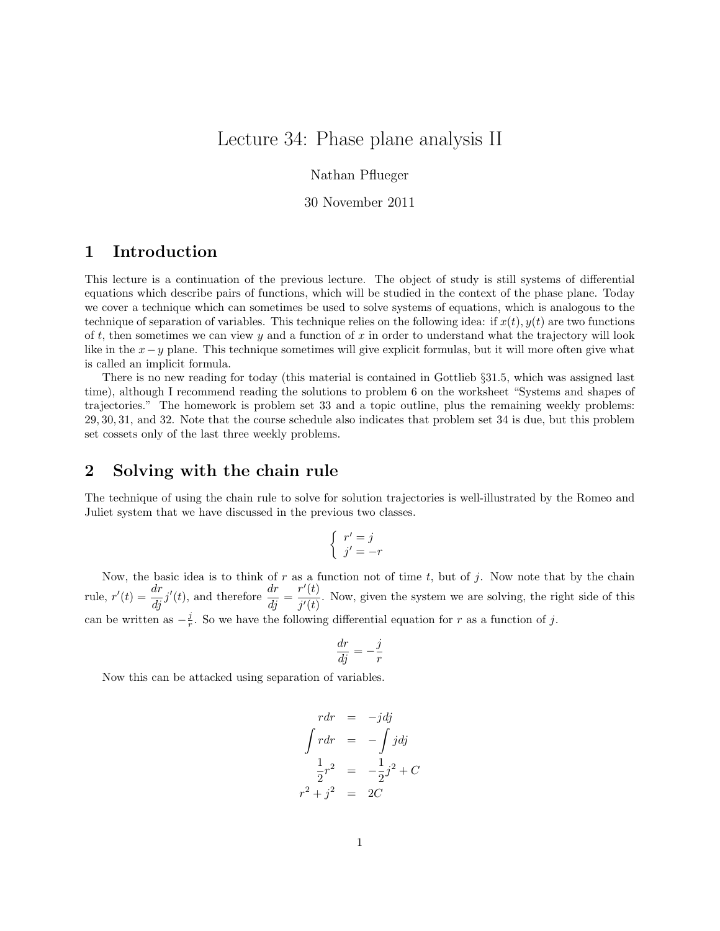## Lecture 34: Phase plane analysis II

Nathan Pflueger

30 November 2011

## 1 Introduction

This lecture is a continuation of the previous lecture. The object of study is still systems of differential equations which describe pairs of functions, which will be studied in the context of the phase plane. Today we cover a technique which can sometimes be used to solve systems of equations, which is analogous to the technique of separation of variables. This technique relies on the following idea: if  $x(t)$ ,  $y(t)$  are two functions of t, then sometimes we can view  $y$  and a function of  $x$  in order to understand what the trajectory will look like in the x−y plane. This technique sometimes will give explicit formulas, but it will more often give what is called an implicit formula.

There is no new reading for today (this material is contained in Gottlieb §31.5, which was assigned last time), although I recommend reading the solutions to problem 6 on the worksheet "Systems and shapes of trajectories." The homework is problem set 33 and a topic outline, plus the remaining weekly problems: 29, 30, 31, and 32. Note that the course schedule also indicates that problem set 34 is due, but this problem set cossets only of the last three weekly problems.

## 2 Solving with the chain rule

The technique of using the chain rule to solve for solution trajectories is well-illustrated by the Romeo and Juliet system that we have discussed in the previous two classes.

$$
\begin{cases}\nr' = j \\
j' = -r\n\end{cases}
$$

Now, the basic idea is to think of r as a function not of time t, but of j. Now note that by the chain rule,  $r'(t) = \frac{dr}{dj}j'(t)$ , and therefore  $\frac{dr}{dj} = \frac{r'(t)}{j'(t)}$  $\frac{\partial f(t)}{\partial f'}$ . Now, given the system we are solving, the right side of this can be written as  $-\frac{j}{r}$ . So we have the following differential equation for r as a function of j.

$$
\frac{dr}{dj} = -\frac{j}{r}
$$

Now this can be attacked using separation of variables.

$$
rdr = -jdj
$$
  

$$
\int rdr = -\int jdj
$$
  

$$
\frac{1}{2}r^2 = -\frac{1}{2}j^2 + C
$$
  

$$
r^2 + j^2 = 2C
$$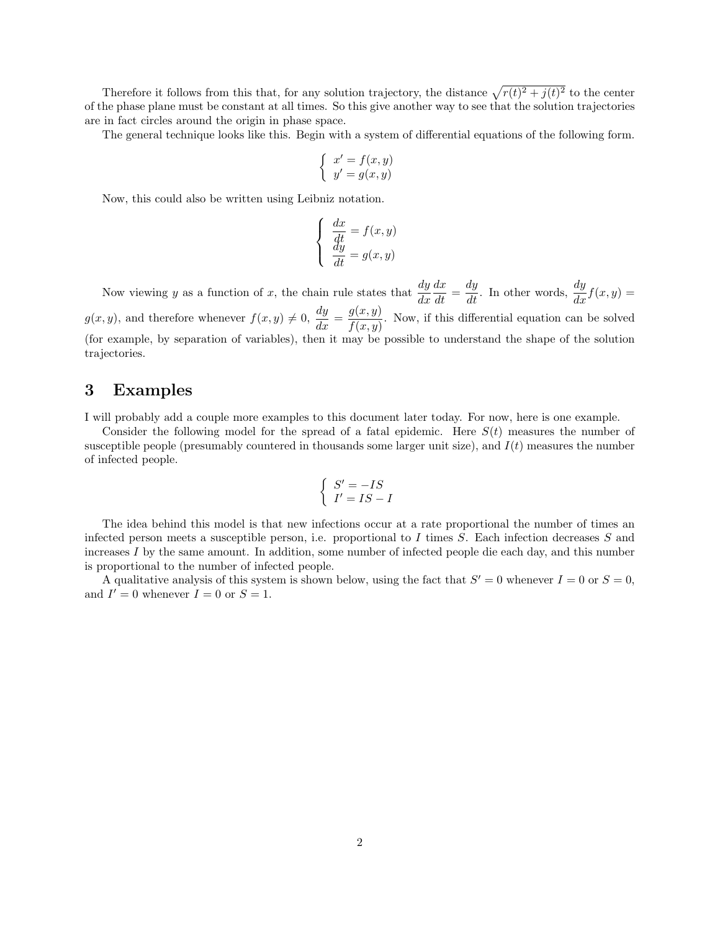Therefore it follows from this that, for any solution trajectory, the distance  $\sqrt{r(t)^2 + j(t)^2}$  to the center of the phase plane must be constant at all times. So this give another way to see that the solution trajectories are in fact circles around the origin in phase space.

The general technique looks like this. Begin with a system of differential equations of the following form.

$$
\left\{\begin{array}{l} x'=f(x,y)\\ y'=g(x,y)\end{array}\right.
$$

Now, this could also be written using Leibniz notation.

$$
\begin{cases}\n\frac{dx}{dt} = f(x, y) \\
\frac{dy}{dt} = g(x, y)\n\end{cases}
$$

Now viewing y as a function of x, the chain rule states that  $\frac{dy}{dx}$  $\frac{dx}{dt} = \frac{dy}{dt}$ . In other words,  $\frac{dy}{dx}f(x, y) =$  $g(x, y)$ , and therefore whenever  $f(x, y) \neq 0$ ,  $\frac{dy}{dx} = \frac{g(x, y)}{f(x, y)}$  $\frac{g(x, y)}{f(x, y)}$ . Now, if this differential equation can be solved (for example, by separation of variables), then it may be possible to understand the shape of the solution trajectories.

## 3 Examples

I will probably add a couple more examples to this document later today. For now, here is one example.

Consider the following model for the spread of a fatal epidemic. Here  $S(t)$  measures the number of susceptible people (presumably countered in thousands some larger unit size), and  $I(t)$  measures the number of infected people.

$$
\begin{cases}\nS' = -IS \\
I' = IS - I\n\end{cases}
$$

The idea behind this model is that new infections occur at a rate proportional the number of times an infected person meets a susceptible person, i.e. proportional to I times  $S$ . Each infection decreases  $S$  and increases  $I$  by the same amount. In addition, some number of infected people die each day, and this number is proportional to the number of infected people.

A qualitative analysis of this system is shown below, using the fact that  $S' = 0$  whenever  $I = 0$  or  $S = 0$ , and  $I' = 0$  whenever  $I = 0$  or  $S = 1$ .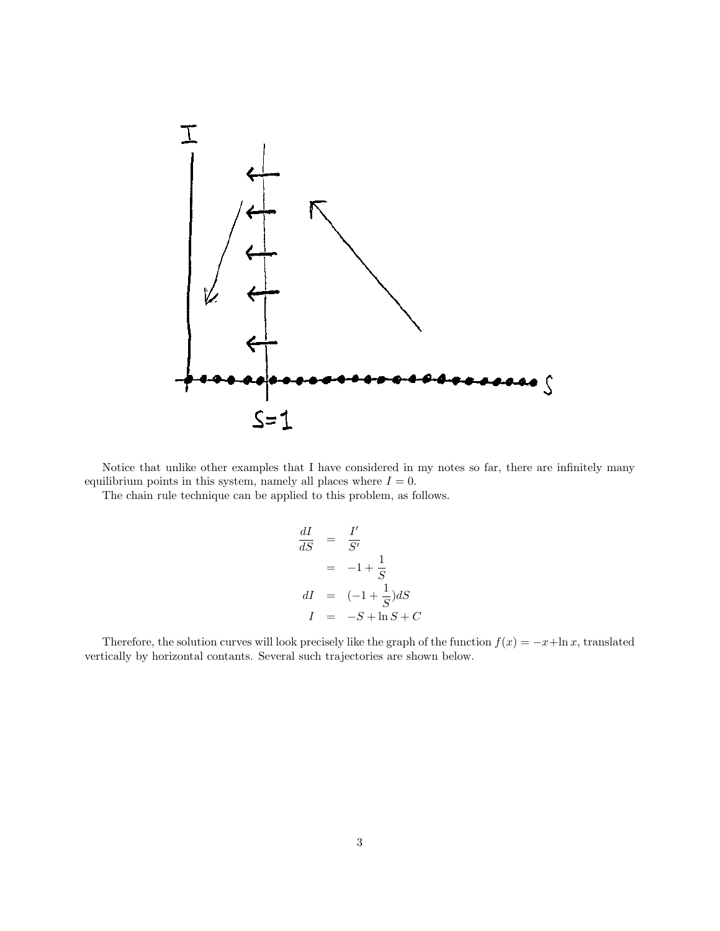

Notice that unlike other examples that I have considered in my notes so far, there are infinitely many equilibrium points in this system, namely all places where  $I = 0$ .

The chain rule technique can be applied to this problem, as follows.

$$
\frac{dI}{dS} = \frac{I'}{S'}
$$

$$
= -1 + \frac{1}{S}
$$

$$
dI = (-1 + \frac{1}{S})dS
$$

$$
I = -S + \ln S + C
$$

Therefore, the solution curves will look precisely like the graph of the function  $f(x) = -x + \ln x$ , translated vertically by horizontal contants. Several such trajectories are shown below.